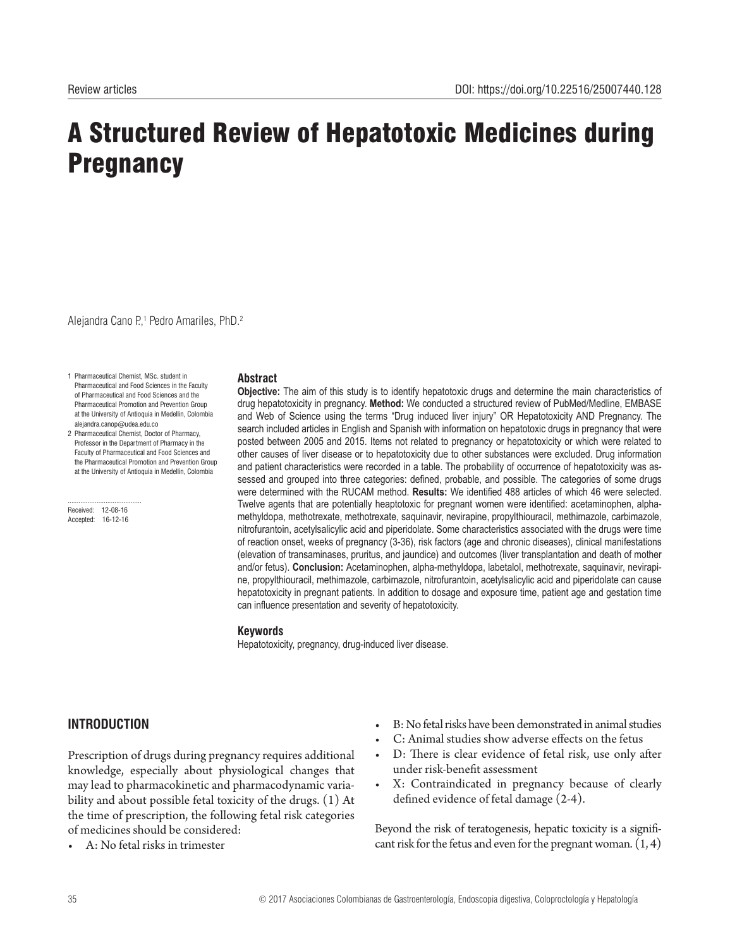# A Structured Review of Hepatotoxic Medicines during **Pregnancy**

Alejandra Cano P.,<sup>1</sup> Pedro Amariles, PhD.<sup>2</sup>

- 1 Pharmaceutical Chemist, MSc. student in Pharmaceutical and Food Sciences in the Faculty of Pharmaceutical and Food Sciences and the Pharmaceutical Promotion and Prevention Group at the University of Antioquia in Medellin, Colombia alejandra.canop@udea.edu.co
- 2 Pharmaceutical Chemist, Doctor of Pharmacy, Professor in the Department of Pharmacy in the Faculty of Pharmaceutical and Food Sciences and the Pharmaceutical Promotion and Prevention Group at the University of Antioquia in Medellin, Colombia

......................................... Received: 12-08-16 Accepted: 16-12-16

#### **Abstract**

**Objective:** The aim of this study is to identify hepatotoxic drugs and determine the main characteristics of drug hepatotoxicity in pregnancy. **Method:** We conducted a structured review of PubMed/Medline, EMBASE and Web of Science using the terms "Drug induced liver injury" OR Hepatotoxicity AND Pregnancy. The search included articles in English and Spanish with information on hepatotoxic drugs in pregnancy that were posted between 2005 and 2015. Items not related to pregnancy or hepatotoxicity or which were related to other causes of liver disease or to hepatotoxicity due to other substances were excluded. Drug information and patient characteristics were recorded in a table. The probability of occurrence of hepatotoxicity was assessed and grouped into three categories: defined, probable, and possible. The categories of some drugs were determined with the RUCAM method. **Results:** We identified 488 articles of which 46 were selected. Twelve agents that are potentially heaptotoxic for pregnant women were identified: acetaminophen, alphamethyldopa, methotrexate, methotrexate, saquinavir, nevirapine, propylthiouracil, methimazole, carbimazole, nitrofurantoin, acetylsalicylic acid and piperidolate. Some characteristics associated with the drugs were time of reaction onset, weeks of pregnancy (3-36), risk factors (age and chronic diseases), clinical manifestations (elevation of transaminases, pruritus, and jaundice) and outcomes (liver transplantation and death of mother and/or fetus). **Conclusion:** Acetaminophen, alpha-methyldopa, labetalol, methotrexate, saquinavir, nevirapine, propylthiouracil, methimazole, carbimazole, nitrofurantoin, acetylsalicylic acid and piperidolate can cause hepatotoxicity in pregnant patients. In addition to dosage and exposure time, patient age and gestation time can influence presentation and severity of hepatotoxicity.

#### **Keywords**

Hepatotoxicity, pregnancy, drug-induced liver disease.

# **INTRODUCTION**

Prescription of drugs during pregnancy requires additional knowledge, especially about physiological changes that may lead to pharmacokinetic and pharmacodynamic variability and about possible fetal toxicity of the drugs. (1) At the time of prescription, the following fetal risk categories of medicines should be considered:

A: No fetal risks in trimester

- B: No fetal risks have been demonstrated in animal studies
- C: Animal studies show adverse effects on the fetus
- D: There is clear evidence of fetal risk, use only after under risk-benefit assessment
- X: Contraindicated in pregnancy because of clearly defined evidence of fetal damage (2-4).

Beyond the risk of teratogenesis, hepatic toxicity is a significant risk for the fetus and even for the pregnant woman.  $(1, 4)$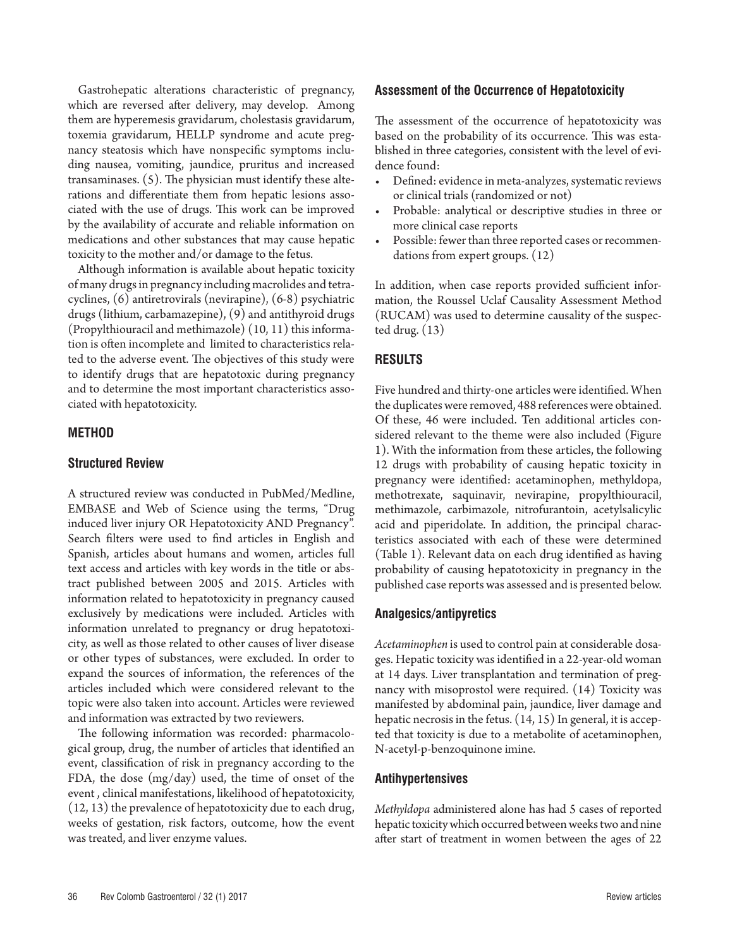Gastrohepatic alterations characteristic of pregnancy, which are reversed after delivery, may develop. Among them are hyperemesis gravidarum, cholestasis gravidarum, toxemia gravidarum, HELLP syndrome and acute pregnancy steatosis which have nonspecific symptoms including nausea, vomiting, jaundice, pruritus and increased transaminases. (5). The physician must identify these alterations and differentiate them from hepatic lesions associated with the use of drugs. This work can be improved by the availability of accurate and reliable information on medications and other substances that may cause hepatic toxicity to the mother and/or damage to the fetus.

Although information is available about hepatic toxicity of many drugs in pregnancy including macrolides and tetracyclines, (6) antiretrovirals (nevirapine), (6-8) psychiatric drugs (lithium, carbamazepine), (9) and antithyroid drugs (Propylthiouracil and methimazole) (10, 11) this information is often incomplete and limited to characteristics related to the adverse event. The objectives of this study were to identify drugs that are hepatotoxic during pregnancy and to determine the most important characteristics associated with hepatotoxicity.

# **METHOD**

# **Structured Review**

A structured review was conducted in PubMed/Medline, EMBASE and Web of Science using the terms, "Drug induced liver injury OR Hepatotoxicity AND Pregnancy". Search filters were used to find articles in English and Spanish, articles about humans and women, articles full text access and articles with key words in the title or abstract published between 2005 and 2015. Articles with information related to hepatotoxicity in pregnancy caused exclusively by medications were included. Articles with information unrelated to pregnancy or drug hepatotoxicity, as well as those related to other causes of liver disease or other types of substances, were excluded. In order to expand the sources of information, the references of the articles included which were considered relevant to the topic were also taken into account. Articles were reviewed and information was extracted by two reviewers.

The following information was recorded: pharmacological group, drug, the number of articles that identified an event, classification of risk in pregnancy according to the FDA, the dose (mg/day) used, the time of onset of the event , clinical manifestations, likelihood of hepatotoxicity, (12, 13) the prevalence of hepatotoxicity due to each drug, weeks of gestation, risk factors, outcome, how the event was treated, and liver enzyme values.

#### **Assessment of the Occurrence of Hepatotoxicity**

The assessment of the occurrence of hepatotoxicity was based on the probability of its occurrence. This was established in three categories, consistent with the level of evidence found:

- Defined: evidence in meta-analyzes, systematic reviews or clinical trials (randomized or not)
- Probable: analytical or descriptive studies in three or more clinical case reports
- • Possible: fewer than three reported cases or recommendations from expert groups. (12)

In addition, when case reports provided sufficient information, the Roussel Uclaf Causality Assessment Method (RUCAM) was used to determine causality of the suspected drug. (13)

### **RESULTS**

Five hundred and thirty-one articles were identified. When the duplicates were removed, 488 references were obtained. Of these, 46 were included. Ten additional articles considered relevant to the theme were also included (Figure 1). With the information from these articles, the following 12 drugs with probability of causing hepatic toxicity in pregnancy were identified: acetaminophen, methyldopa, methotrexate, saquinavir, nevirapine, propylthiouracil, methimazole, carbimazole, nitrofurantoin, acetylsalicylic acid and piperidolate. In addition, the principal characteristics associated with each of these were determined (Table 1). Relevant data on each drug identified as having probability of causing hepatotoxicity in pregnancy in the published case reports was assessed and is presented below.

#### **Analgesics/antipyretics**

*Acetaminophen* is used to control pain at considerable dosages. Hepatic toxicity was identified in a 22-year-old woman at 14 days. Liver transplantation and termination of pregnancy with misoprostol were required. (14) Toxicity was manifested by abdominal pain, jaundice, liver damage and hepatic necrosis in the fetus.  $(14, 15)$  In general, it is accepted that toxicity is due to a metabolite of acetaminophen, N-acetyl-p-benzoquinone imine.

### **Antihypertensives**

*Methyldopa* administered alone has had 5 cases of reported hepatic toxicity which occurred between weeks two and nine after start of treatment in women between the ages of 22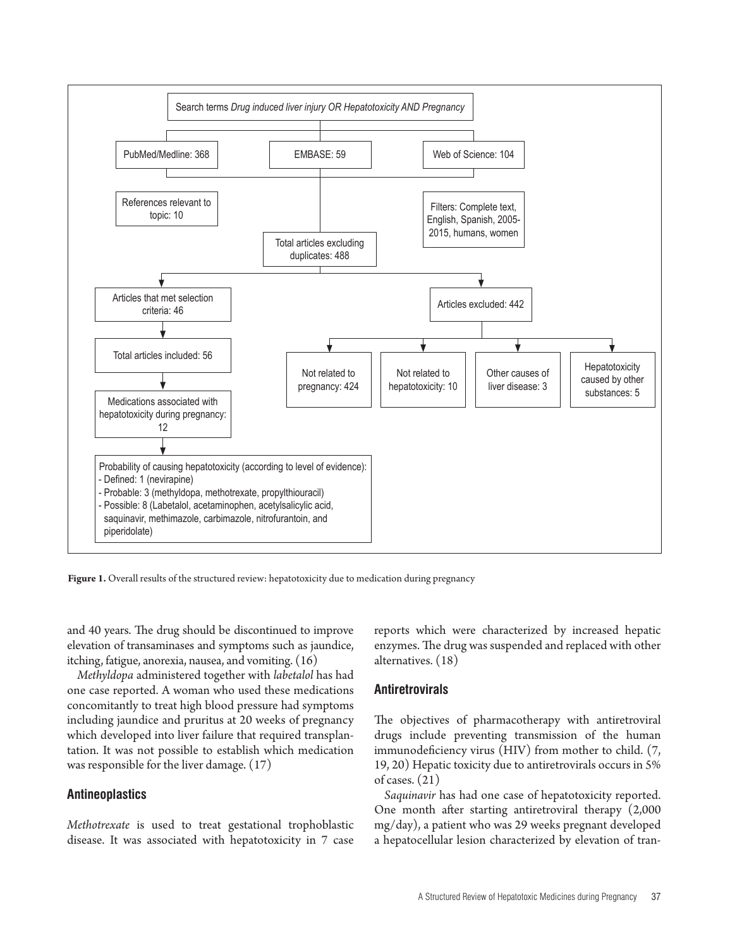

Figure 1. Overall results of the structured review: hepatotoxicity due to medication during pregnancy

and 40 years. The drug should be discontinued to improve elevation of transaminases and symptoms such as jaundice, itching, fatigue, anorexia, nausea, and vomiting. (16)

*Methyldopa* administered together with *labetalol* has had one case reported. A woman who used these medications concomitantly to treat high blood pressure had symptoms including jaundice and pruritus at 20 weeks of pregnancy which developed into liver failure that required transplantation. It was not possible to establish which medication was responsible for the liver damage. (17)

### **Antineoplastics**

*Methotrexate* is used to treat gestational trophoblastic disease. It was associated with hepatotoxicity in 7 case reports which were characterized by increased hepatic enzymes. The drug was suspended and replaced with other alternatives. (18)

### **Antiretrovirals**

The objectives of pharmacotherapy with antiretroviral drugs include preventing transmission of the human immunodeficiency virus (HIV) from mother to child. (7, 19, 20) Hepatic toxicity due to antiretrovirals occurs in 5% of cases. (21)

*Saquinavir* has had one case of hepatotoxicity reported. One month after starting antiretroviral therapy (2,000 mg/day), a patient who was 29 weeks pregnant developed a hepatocellular lesion characterized by elevation of tran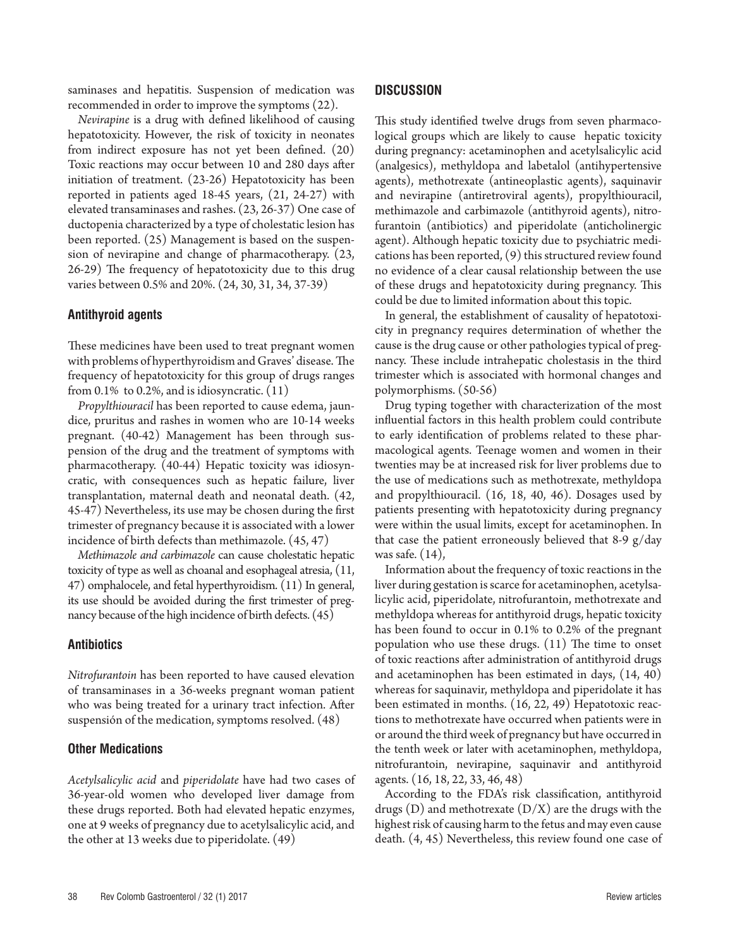saminases and hepatitis. Suspension of medication was recommended in order to improve the symptoms (22).

*Nevirapine* is a drug with defined likelihood of causing hepatotoxicity. However, the risk of toxicity in neonates from indirect exposure has not yet been defined. (20) Toxic reactions may occur between 10 and 280 days after initiation of treatment. (23-26) Hepatotoxicity has been reported in patients aged 18-45 years, (21, 24-27) with elevated transaminases and rashes. (23, 26-37) One case of ductopenia characterized by a type of cholestatic lesion has been reported. (25) Management is based on the suspension of nevirapine and change of pharmacotherapy. (23, 26-29) The frequency of hepatotoxicity due to this drug varies between 0.5% and 20%. (24, 30, 31, 34, 37-39)

# **Antithyroid agents**

These medicines have been used to treat pregnant women with problems of hyperthyroidism and Graves' disease. The frequency of hepatotoxicity for this group of drugs ranges from 0.1% to 0.2%, and is idiosyncratic. (11)

*Propylthiouracil* has been reported to cause edema, jaundice, pruritus and rashes in women who are 10-14 weeks pregnant. (40-42) Management has been through suspension of the drug and the treatment of symptoms with pharmacotherapy. (40-44) Hepatic toxicity was idiosyncratic, with consequences such as hepatic failure, liver transplantation, maternal death and neonatal death. (42, 45-47) Nevertheless, its use may be chosen during the first trimester of pregnancy because it is associated with a lower incidence of birth defects than methimazole. (45, 47)

*Methimazole and carbimazole* can cause cholestatic hepatic toxicity of type as well as choanal and esophageal atresia, (11, 47) omphalocele, and fetal hyperthyroidism. (11) In general, its use should be avoided during the first trimester of pregnancy because of the high incidence of birth defects. (45)

# **Antibiotics**

*Nitrofurantoin* has been reported to have caused elevation of transaminases in a 36-weeks pregnant woman patient who was being treated for a urinary tract infection. After suspensión of the medication, symptoms resolved. (48)

# **Other Medications**

*Acetylsalicylic acid* and *piperidolate* have had two cases of 36-year-old women who developed liver damage from these drugs reported. Both had elevated hepatic enzymes, one at 9 weeks of pregnancy due to acetylsalicylic acid, and the other at 13 weeks due to piperidolate. (49)

# **DISCUSSION**

This study identified twelve drugs from seven pharmacological groups which are likely to cause hepatic toxicity during pregnancy: acetaminophen and acetylsalicylic acid (analgesics), methyldopa and labetalol (antihypertensive agents), methotrexate (antineoplastic agents), saquinavir and nevirapine (antiretroviral agents), propylthiouracil, methimazole and carbimazole (antithyroid agents), nitrofurantoin (antibiotics) and piperidolate (anticholinergic agent). Although hepatic toxicity due to psychiatric medications has been reported, (9) this structured review found no evidence of a clear causal relationship between the use of these drugs and hepatotoxicity during pregnancy. This could be due to limited information about this topic.

In general, the establishment of causality of hepatotoxicity in pregnancy requires determination of whether the cause is the drug cause or other pathologies typical of pregnancy. These include intrahepatic cholestasis in the third trimester which is associated with hormonal changes and polymorphisms. (50-56)

Drug typing together with characterization of the most influential factors in this health problem could contribute to early identification of problems related to these pharmacological agents. Teenage women and women in their twenties may be at increased risk for liver problems due to the use of medications such as methotrexate, methyldopa and propylthiouracil. (16, 18, 40, 46). Dosages used by patients presenting with hepatotoxicity during pregnancy were within the usual limits, except for acetaminophen. In that case the patient erroneously believed that 8-9 g/day was safe. (14),

Information about the frequency of toxic reactions in the liver during gestation is scarce for acetaminophen, acetylsalicylic acid, piperidolate, nitrofurantoin, methotrexate and methyldopa whereas for antithyroid drugs, hepatic toxicity has been found to occur in 0.1% to 0.2% of the pregnant population who use these drugs. (11) The time to onset of toxic reactions after administration of antithyroid drugs and acetaminophen has been estimated in days, (14, 40) whereas for saquinavir, methyldopa and piperidolate it has been estimated in months. (16, 22, 49) Hepatotoxic reactions to methotrexate have occurred when patients were in or around the third week of pregnancy but have occurred in the tenth week or later with acetaminophen, methyldopa, nitrofurantoin, nevirapine, saquinavir and antithyroid agents. (16, 18, 22, 33, 46, 48)

According to the FDA's risk classification, antithyroid drugs  $(D)$  and methotrexate  $(D/X)$  are the drugs with the highest risk of causing harm to the fetus and may even cause death. (4, 45) Nevertheless, this review found one case of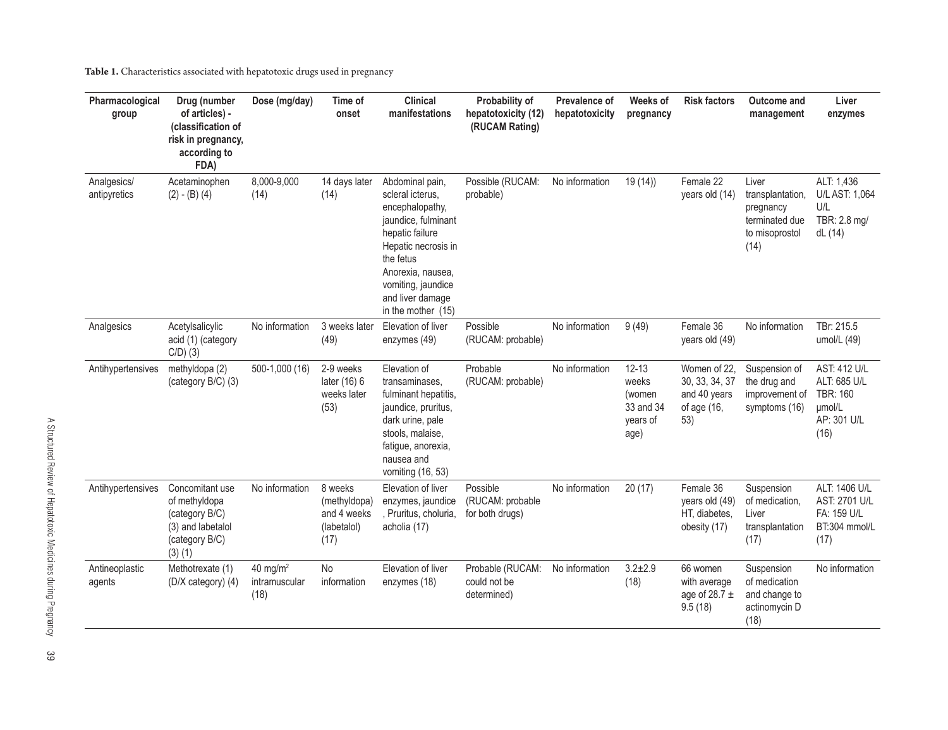**Table 1.** Characteristics associated with hepatotoxic drugs used in pregnancy

| Pharmacological<br>group    | Drug (number<br>of articles) -<br>(classification of<br>risk in pregnancy,<br>according to<br>FDA)  | Dose (mg/day)                                 | Time of<br>onset                                              | <b>Clinical</b><br>manifestations                                                                                                                                                                                         | Probability of<br>hepatotoxicity (12)<br>(RUCAM Rating) | Prevalence of<br>hepatotoxicity | Weeks of<br>pregnancy                                         | <b>Risk factors</b>                                                  | <b>Outcome and</b><br>management                                                   | Liver<br>enzymes                                                                        |
|-----------------------------|-----------------------------------------------------------------------------------------------------|-----------------------------------------------|---------------------------------------------------------------|---------------------------------------------------------------------------------------------------------------------------------------------------------------------------------------------------------------------------|---------------------------------------------------------|---------------------------------|---------------------------------------------------------------|----------------------------------------------------------------------|------------------------------------------------------------------------------------|-----------------------------------------------------------------------------------------|
| Analgesics/<br>antipyretics | Acetaminophen<br>$(2) - (B) (4)$                                                                    | 8,000-9,000<br>(14)                           | 14 days later<br>(14)                                         | Abdominal pain,<br>scleral icterus.<br>encephalopathy,<br>jaundice, fulminant<br>hepatic failure<br>Hepatic necrosis in<br>the fetus<br>Anorexia, nausea,<br>vomiting, jaundice<br>and liver damage<br>in the mother (15) | Possible (RUCAM:<br>probable)                           | No information                  | 19(14)                                                        | Female 22<br>years old (14)                                          | Liver<br>transplantation,<br>pregnancy<br>terminated due<br>to misoprostol<br>(14) | ALT: 1,436<br>U/L AST: 1,064<br>U/L<br>TBR: 2.8 mg/<br>dL (14)                          |
| Analgesics                  | Acetylsalicylic<br>acid (1) (category<br>$C/D$ ) (3)                                                | No information                                | 3 weeks later<br>(49)                                         | Elevation of liver<br>enzymes (49)                                                                                                                                                                                        | Possible<br>(RUCAM: probable)                           | No information                  | 9(49)                                                         | Female 36<br>years old (49)                                          | No information                                                                     | TBr: 215.5<br>umol/L (49)                                                               |
| Antihypertensives           | methyldopa (2)<br>(category B/C) (3)                                                                | 500-1,000 (16)                                | 2-9 weeks<br>later (16) 6<br>weeks later<br>(53)              | Elevation of<br>transaminases,<br>fulminant hepatitis,<br>jaundice, pruritus,<br>dark urine, pale<br>stools, malaise,<br>fatigue, anorexia,<br>nausea and<br>vomiting (16, 53)                                            | Probable<br>(RUCAM: probable)                           | No information                  | $12 - 13$<br>weeks<br>(women<br>33 and 34<br>years of<br>age) | Women of 22,<br>30, 33, 34, 37<br>and 40 years<br>of age (16,<br>53) | Suspension of<br>the drug and<br>improvement of<br>symptoms (16)                   | <b>AST: 412 U/L</b><br>ALT: 685 U/L<br><b>TBR: 160</b><br>umol/L<br>AP: 301 U/L<br>(16) |
| Antihypertensives           | Concomitant use<br>of methyldopa<br>(category B/C)<br>(3) and labetalol<br>(category B/C)<br>(3)(1) | No information                                | 8 weeks<br>(methyldopa)<br>and 4 weeks<br>(labetalol)<br>(17) | Elevation of liver<br>enzymes, jaundice<br>, Pruritus, choluria,<br>acholia (17)                                                                                                                                          | Possible<br>(RUCAM: probable<br>for both drugs)         | No information                  | 20(17)                                                        | Female 36<br>years old (49)<br>HT, diabetes,<br>obesity (17)         | Suspension<br>of medication,<br>Liver<br>transplantation<br>(17)                   | ALT: 1406 U/L<br>AST: 2701 U/L<br>FA: 159 U/L<br>BT:304 mmol/L<br>(17)                  |
| Antineoplastic<br>agents    | Methotrexate (1)<br>(D/X category) (4)                                                              | 40 mg/m <sup>2</sup><br>intramuscular<br>(18) | No<br>information                                             | Elevation of liver<br>enzymes (18)                                                                                                                                                                                        | Probable (RUCAM:<br>could not be<br>determined)         | No information                  | $3.2 + 2.9$<br>(18)                                           | 66 women<br>with average<br>age of 28.7 $\pm$<br>9.5(18)             | Suspension<br>of medication<br>and change to<br>actinomycin D<br>(18)              | No information                                                                          |

89<br>09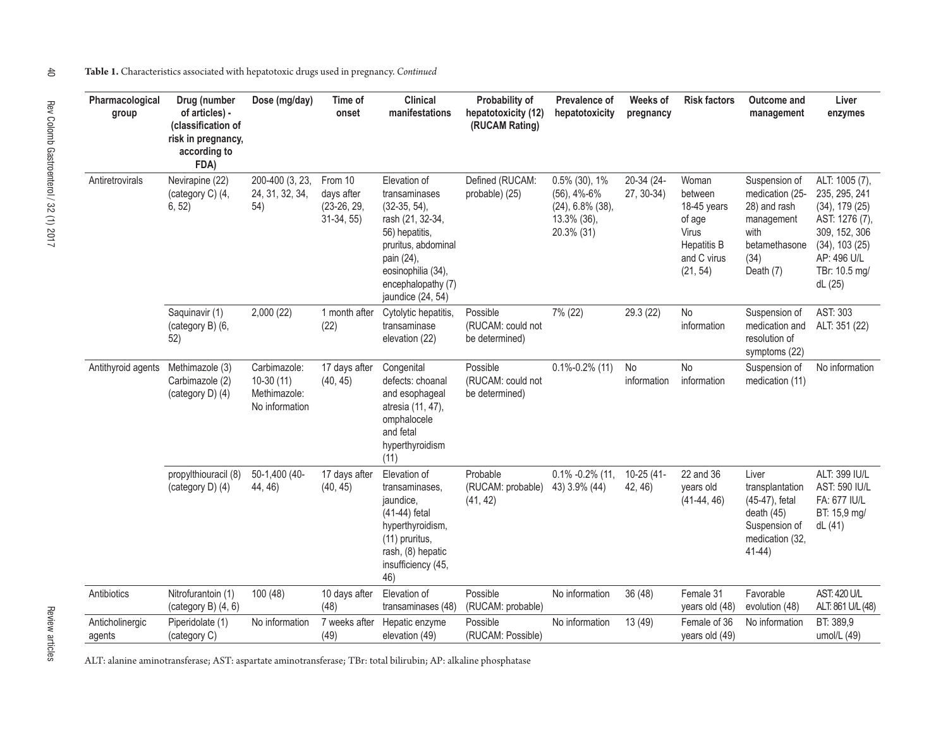| Pharmacological<br>group  | Drug (number<br>of articles) -<br>(classification of<br>risk in pregnancy,<br>according to<br>FDA) | Dose (mg/day)                                                 | Time of<br>onset                                       | <b>Clinical</b><br>manifestations                                                                                                                                                            | Probability of<br>hepatotoxicity (12)<br>(RUCAM Rating) | Prevalence of<br>hepatotoxicity                                                           | Weeks of<br>pregnancy    | <b>Risk factors</b>                                                                                        | Outcome and<br>management                                                                                    | Liver<br>enzymes                                                                                                                                            |
|---------------------------|----------------------------------------------------------------------------------------------------|---------------------------------------------------------------|--------------------------------------------------------|----------------------------------------------------------------------------------------------------------------------------------------------------------------------------------------------|---------------------------------------------------------|-------------------------------------------------------------------------------------------|--------------------------|------------------------------------------------------------------------------------------------------------|--------------------------------------------------------------------------------------------------------------|-------------------------------------------------------------------------------------------------------------------------------------------------------------|
| Antiretrovirals           | Nevirapine (22)<br>(category C) (4,<br>6, 52)                                                      | 200-400 (3, 23,<br>24, 31, 32, 34,<br>54)                     | From 10<br>days after<br>$(23-26, 29,$<br>$31-34, 55)$ | Elevation of<br>transaminases<br>$(32-35, 54)$ ,<br>rash (21, 32-34,<br>56) hepatitis,<br>pruritus, abdominal<br>pain (24),<br>eosinophilia (34),<br>encephalopathy (7)<br>jaundice (24, 54) | Defined (RUCAM:<br>probable) (25)                       | $0.5\%$ (30), 1%<br>$(56)$ , 4%-6%<br>$(24)$ , 6.8% $(38)$ ,<br>13.3% (36),<br>20.3% (31) | 20-34 (24-<br>27, 30-34) | Woman<br>between<br>18-45 years<br>of age<br><b>Virus</b><br><b>Hepatitis B</b><br>and C virus<br>(21, 54) | Suspension of<br>medication (25-<br>28) and rash<br>management<br>with<br>betamethasone<br>(34)<br>Death (7) | ALT: 1005 (7),<br>235, 295, 241<br>$(34)$ , 179 $(25)$<br>AST: 1276 (7),<br>309, 152, 306<br>$(34)$ , 103 $(25)$<br>AP: 496 U/L<br>TBr: 10.5 mg/<br>dL (25) |
|                           | Saquinavir (1)<br>(category B) (6,<br>52)                                                          | 2,000(22)                                                     | 1 month after<br>(22)                                  | Cytolytic hepatitis,<br>transaminase<br>elevation (22)                                                                                                                                       | Possible<br>(RUCAM: could not<br>be determined)         | 7% (22)                                                                                   | 29.3 (22)                | No<br>information                                                                                          | Suspension of<br>medication and<br>resolution of<br>symptoms (22)                                            | AST: 303<br>ALT: 351 (22)                                                                                                                                   |
| Antithyroid agents        | Methimazole (3)<br>Carbimazole (2)<br>(category D) (4)                                             | Carbimazole:<br>$10-30(11)$<br>Methimazole:<br>No information | 17 days after<br>(40, 45)                              | Congenital<br>defects: choanal<br>and esophageal<br>atresia (11, 47),<br>omphalocele<br>and fetal<br>hyperthyroidism<br>(11)                                                                 | Possible<br>(RUCAM: could not<br>be determined)         | $0.1\% - 0.2\%$ (11)                                                                      | No<br>information        | No<br>information                                                                                          | Suspension of<br>medication (11)                                                                             | No information                                                                                                                                              |
|                           | propylthiouracil (8)<br>(category D) (4)                                                           | 50-1,400 (40-<br>44, 46)                                      | 17 days after<br>(40, 45)                              | Elevation of<br>transaminases,<br>jaundice,<br>(41-44) fetal<br>hyperthyroidism,<br>(11) pruritus,<br>rash, (8) hepatic<br>insufficiency (45,<br>46)                                         | Probable<br>(RUCAM: probable)<br>(41, 42)               | $0.1\% -0.2\%$ (11,<br>43) 3.9% (44)                                                      | 10-25 (41-<br>42, 46)    | 22 and 36<br>years old<br>$(41-44, 46)$                                                                    | Liver<br>transplantation<br>(45-47), fetal<br>death $(45)$<br>Suspension of<br>medication (32,<br>$41-44)$   | ALT: 399 IU/L<br>AST: 590 IU/L<br>FA: 677 IU/L<br>BT: 15,9 mg/<br>dL(41)                                                                                    |
| Antibiotics               | Nitrofurantoin (1)<br>(category B) $(4, 6)$                                                        | 100 (48)                                                      | 10 days after<br>(48)                                  | Elevation of<br>transaminases (48)                                                                                                                                                           | Possible<br>(RUCAM: probable)                           | No information                                                                            | 36(48)                   | Female 31<br>years old (48)                                                                                | Favorable<br>evolution (48)                                                                                  | <b>AST: 420 U/L</b><br>ALT: 861 U/L (48)                                                                                                                    |
| Anticholinergic<br>agents | Piperidolate (1)<br>(category C)                                                                   | No information                                                | 7 weeks after<br>(49)                                  | Hepatic enzyme<br>elevation (49)                                                                                                                                                             | Possible<br>(RUCAM: Possible)                           | No information                                                                            | 13 (49)                  | Female of 36<br>years old (49)                                                                             | No information                                                                                               | BT: 389,9<br>umol/L (49)                                                                                                                                    |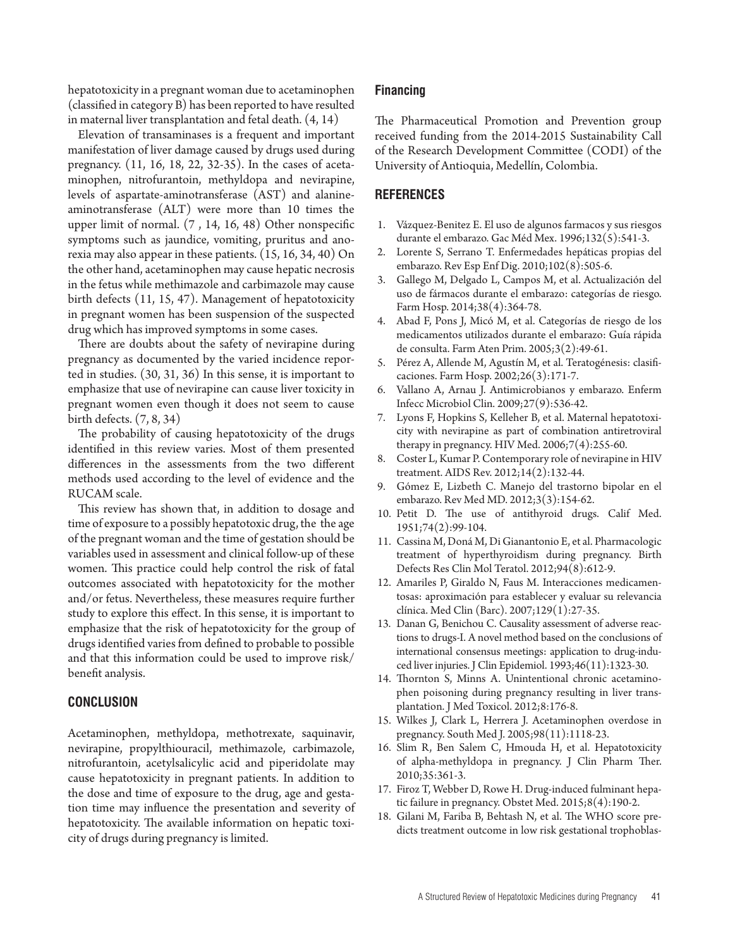hepatotoxicity in a pregnant woman due to acetaminophen (classified in category B) has been reported to have resulted in maternal liver transplantation and fetal death. (4, 14)

Elevation of transaminases is a frequent and important manifestation of liver damage caused by drugs used during pregnancy. (11, 16, 18, 22, 32-35). In the cases of acetaminophen, nitrofurantoin, methyldopa and nevirapine, levels of aspartate-aminotransferase (AST) and alanineaminotransferase (ALT) were more than 10 times the upper limit of normal. (7 , 14, 16, 48) Other nonspecific symptoms such as jaundice, vomiting, pruritus and anorexia may also appear in these patients. (15, 16, 34, 40) On the other hand, acetaminophen may cause hepatic necrosis in the fetus while methimazole and carbimazole may cause birth defects (11, 15, 47). Management of hepatotoxicity in pregnant women has been suspension of the suspected drug which has improved symptoms in some cases.

There are doubts about the safety of nevirapine during pregnancy as documented by the varied incidence reported in studies. (30, 31, 36) In this sense, it is important to emphasize that use of nevirapine can cause liver toxicity in pregnant women even though it does not seem to cause birth defects. (7, 8, 34)

The probability of causing hepatotoxicity of the drugs identified in this review varies. Most of them presented differences in the assessments from the two different methods used according to the level of evidence and the RUCAM scale.

This review has shown that, in addition to dosage and time of exposure to a possibly hepatotoxic drug, the the age of the pregnant woman and the time of gestation should be variables used in assessment and clinical follow-up of these women. This practice could help control the risk of fatal outcomes associated with hepatotoxicity for the mother and/or fetus. Nevertheless, these measures require further study to explore this effect. In this sense, it is important to emphasize that the risk of hepatotoxicity for the group of drugs identified varies from defined to probable to possible and that this information could be used to improve risk/ benefit analysis.

# **CONCLUSION**

Acetaminophen, methyldopa, methotrexate, saquinavir, nevirapine, propylthiouracil, methimazole, carbimazole, nitrofurantoin, acetylsalicylic acid and piperidolate may cause hepatotoxicity in pregnant patients. In addition to the dose and time of exposure to the drug, age and gestation time may influence the presentation and severity of hepatotoxicity. The available information on hepatic toxicity of drugs during pregnancy is limited.

## **Financing**

The Pharmaceutical Promotion and Prevention group received funding from the 2014-2015 Sustainability Call of the Research Development Committee (CODI) of the University of Antioquia, Medellín, Colombia.

# **REFERENCES**

- 1. Vázquez-Benitez E. El uso de algunos farmacos y sus riesgos durante el embarazo. Gac Méd Mex. 1996;132(5):541-3.
- 2. Lorente S, Serrano T. Enfermedades hepáticas propias del embarazo. Rev Esp Enf Dig. 2010;102(8):505-6.
- 3. Gallego M, Delgado L, Campos M, et al. Actualización del uso de fármacos durante el embarazo: categorías de riesgo. Farm Hosp. 2014;38(4):364-78.
- 4. Abad F, Pons J, Micó M, et al. Categorías de riesgo de los medicamentos utilizados durante el embarazo: Guía rápida de consulta. Farm Aten Prim. 2005;3(2):49-61.
- 5. Pérez A, Allende M, Agustín M, et al. Teratogénesis: clasificaciones. Farm Hosp. 2002;26(3):171-7.
- 6. Vallano A, Arnau J. Antimicrobianos y embarazo. Enferm Infecc Microbiol Clin. 2009;27(9):536-42.
- 7. Lyons F, Hopkins S, Kelleher B, et al. Maternal hepatotoxicity with nevirapine as part of combination antiretroviral therapy in pregnancy. HIV Med. 2006;7(4):255-60.
- 8. Coster L, Kumar P. Contemporary role of nevirapine in HIV treatment. AIDS Rev. 2012;14(2):132-44.
- 9. Gómez E, Lizbeth C. Manejo del trastorno bipolar en el embarazo. Rev Med MD. 2012;3(3):154-62.
- 10. Petit D. The use of antithyroid drugs. Calif Med. 1951;74(2):99-104.
- 11. Cassina M, Doná M, Di Gianantonio E, et al. Pharmacologic treatment of hyperthyroidism during pregnancy. Birth Defects Res Clin Mol Teratol. 2012;94(8):612-9.
- 12. Amariles P, Giraldo N, Faus M. Interacciones medicamentosas: aproximación para establecer y evaluar su relevancia clínica. Med Clin (Barc). 2007;129(1):27-35.
- 13. Danan G, Benichou C. Causality assessment of adverse reactions to drugs-I. A novel method based on the conclusions of international consensus meetings: application to drug-induced liver injuries. J Clin Epidemiol. 1993;46(11):1323-30.
- 14. Thornton S, Minns A. Unintentional chronic acetaminophen poisoning during pregnancy resulting in liver transplantation. J Med Toxicol. 2012;8:176-8.
- 15. Wilkes J, Clark L, Herrera J. Acetaminophen overdose in pregnancy. South Med J. 2005;98(11):1118-23.
- 16. Slim R, Ben Salem C, Hmouda H, et al. Hepatotoxicity of alpha-methyldopa in pregnancy. J Clin Pharm Ther. 2010;35:361-3.
- 17. Firoz T, Webber D, Rowe H. Drug-induced fulminant hepatic failure in pregnancy. Obstet Med. 2015;8(4):190-2.
- 18. Gilani M, Fariba B, Behtash N, et al. The WHO score predicts treatment outcome in low risk gestational trophoblas-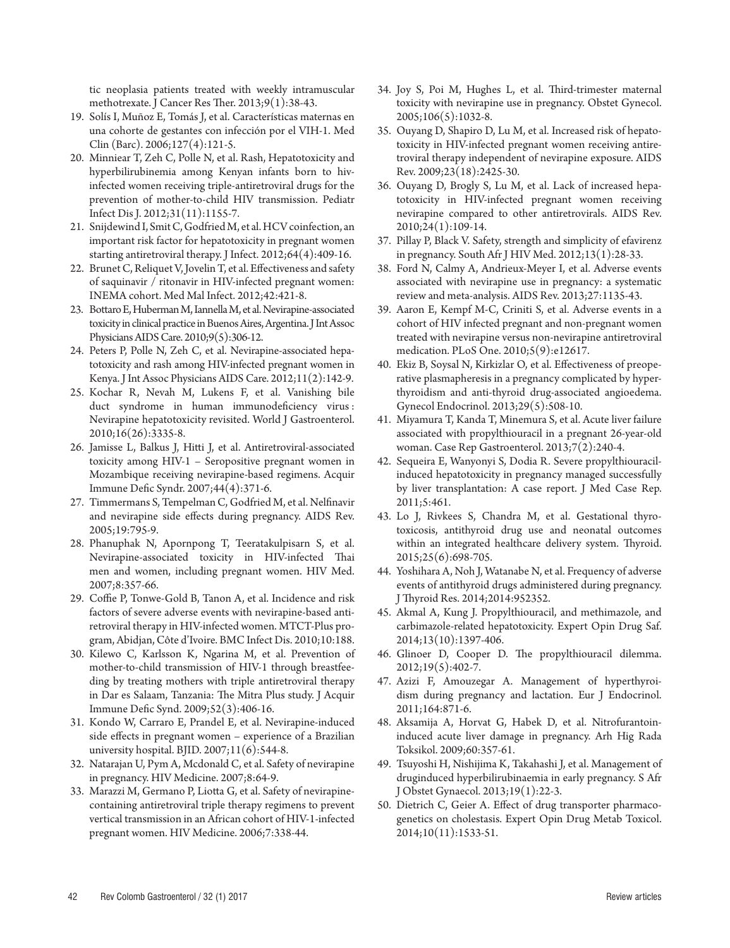tic neoplasia patients treated with weekly intramuscular methotrexate. J Cancer Res Ther. 2013;9(1):38-43.

- 19. Solís I, Muñoz E, Tomás J, et al. Características maternas en una cohorte de gestantes con infección por el VIH-1. Med Clin (Barc). 2006;127(4):121-5.
- 20. Minniear T, Zeh C, Polle N, et al. Rash, Hepatotoxicity and hyperbilirubinemia among Kenyan infants born to hivinfected women receiving triple-antiretroviral drugs for the prevention of mother-to-child HIV transmission. Pediatr Infect Dis J. 2012;31(11):1155-7.
- 21. Snijdewind I, Smit C, Godfried M, et al. HCV coinfection, an important risk factor for hepatotoxicity in pregnant women starting antiretroviral therapy. J Infect. 2012;64(4):409-16.
- 22. Brunet C, Reliquet V, Jovelin T, et al. Effectiveness and safety of saquinavir / ritonavir in HIV-infected pregnant women: INEMA cohort. Med Mal Infect. 2012;42:421-8.
- 23. Bottaro E, Huberman M, Iannella M, et al. Nevirapine-associated toxicity in clinical practice in Buenos Aires, Argentina. J Int Assoc Physicians AIDS Care. 2010;9(5):306-12.
- 24. Peters P, Polle N, Zeh C, et al. Nevirapine-associated hepatotoxicity and rash among HIV-infected pregnant women in Kenya. J Int Assoc Physicians AIDS Care. 2012;11(2):142-9.
- 25. Kochar R, Nevah M, Lukens F, et al. Vanishing bile duct syndrome in human immunodeficiency virus : Nevirapine hepatotoxicity revisited. World J Gastroenterol. 2010;16(26):3335-8.
- 26. Jamisse L, Balkus J, Hitti J, et al. Antiretroviral-associated toxicity among HIV-1 – Seropositive pregnant women in Mozambique receiving nevirapine-based regimens. Acquir Immune Defic Syndr. 2007;44(4):371-6.
- 27. Timmermans S, Tempelman C, Godfried M, et al. Nelfinavir and nevirapine side effects during pregnancy. AIDS Rev. 2005;19:795-9.
- 28. Phanuphak N, Apornpong T, Teeratakulpisarn S, et al. Nevirapine-associated toxicity in HIV-infected Thai men and women, including pregnant women. HIV Med. 2007;8:357-66.
- 29. Coffie P, Tonwe-Gold B, Tanon A, et al. Incidence and risk factors of severe adverse events with nevirapine-based antiretroviral therapy in HIV-infected women. MTCT-Plus program, Abidjan, Côte d'Ivoire. BMC Infect Dis. 2010;10:188.
- 30. Kilewo C, Karlsson K, Ngarina M, et al. Prevention of mother-to-child transmission of HIV-1 through breastfeeding by treating mothers with triple antiretroviral therapy in Dar es Salaam, Tanzania: The Mitra Plus study. J Acquir Immune Defic Synd. 2009;52(3):406-16.
- 31. Kondo W, Carraro E, Prandel E, et al. Nevirapine-induced side effects in pregnant women – experience of a Brazilian university hospital. BJID. 2007;11(6):544-8.
- 32. Natarajan U, Pym A, Mcdonald C, et al. Safety of nevirapine in pregnancy. HIV Medicine. 2007;8:64-9.
- 33. Marazzi M, Germano P, Liotta G, et al. Safety of nevirapinecontaining antiretroviral triple therapy regimens to prevent vertical transmission in an African cohort of HIV-1-infected pregnant women. HIV Medicine. 2006;7:338-44.
- 34. Joy S, Poi M, Hughes L, et al. Third-trimester maternal toxicity with nevirapine use in pregnancy. Obstet Gynecol. 2005;106(5):1032-8.
- 35. Ouyang D, Shapiro D, Lu M, et al. Increased risk of hepatotoxicity in HIV-infected pregnant women receiving antiretroviral therapy independent of nevirapine exposure. AIDS Rev. 2009;23(18):2425-30.
- 36. Ouyang D, Brogly S, Lu M, et al. Lack of increased hepatotoxicity in HIV-infected pregnant women receiving nevirapine compared to other antiretrovirals. AIDS Rev. 2010;24(1):109-14.
- 37. Pillay P, Black V. Safety, strength and simplicity of efavirenz in pregnancy. South Afr J HIV Med. 2012;13(1):28-33.
- 38. Ford N, Calmy A, Andrieux-Meyer I, et al. Adverse events associated with nevirapine use in pregnancy: a systematic review and meta-analysis. AIDS Rev. 2013;27:1135-43.
- 39. Aaron E, Kempf M-C, Criniti S, et al. Adverse events in a cohort of HIV infected pregnant and non-pregnant women treated with nevirapine versus non-nevirapine antiretroviral medication. PLoS One. 2010;5(9):e12617.
- 40. Ekiz B, Soysal N, Kirkizlar O, et al. Effectiveness of preoperative plasmapheresis in a pregnancy complicated by hyperthyroidism and anti-thyroid drug-associated angioedema. Gynecol Endocrinol. 2013;29(5):508-10.
- 41. Miyamura T, Kanda T, Minemura S, et al. Acute liver failure associated with propylthiouracil in a pregnant 26-year-old woman. Case Rep Gastroenterol. 2013;7(2):240-4.
- 42. Sequeira E, Wanyonyi S, Dodia R. Severe propylthiouracilinduced hepatotoxicity in pregnancy managed successfully by liver transplantation: A case report. J Med Case Rep. 2011;5:461.
- 43. Lo J, Rivkees S, Chandra M, et al. Gestational thyrotoxicosis, antithyroid drug use and neonatal outcomes within an integrated healthcare delivery system. Thyroid. 2015;25(6):698-705.
- 44. Yoshihara A, Noh J, Watanabe N, et al. Frequency of adverse events of antithyroid drugs administered during pregnancy. J Thyroid Res. 2014;2014:952352.
- 45. Akmal A, Kung J. Propylthiouracil, and methimazole, and carbimazole-related hepatotoxicity. Expert Opin Drug Saf. 2014;13(10):1397-406.
- 46. Glinoer D, Cooper D. The propylthiouracil dilemma. 2012;19(5):402-7.
- 47. Azizi F, Amouzegar A. Management of hyperthyroidism during pregnancy and lactation. Eur J Endocrinol. 2011;164:871-6.
- 48. Aksamija A, Horvat G, Habek D, et al. Nitrofurantoininduced acute liver damage in pregnancy. Arh Hig Rada Toksikol. 2009;60:357-61.
- 49. Tsuyoshi H, Nishijima K, Takahashi J, et al. Management of druginduced hyperbilirubinaemia in early pregnancy. S Afr J Obstet Gynaecol. 2013;19(1):22-3.
- 50. Dietrich C, Geier A. Effect of drug transporter pharmacogenetics on cholestasis. Expert Opin Drug Metab Toxicol. 2014;10(11):1533-51.